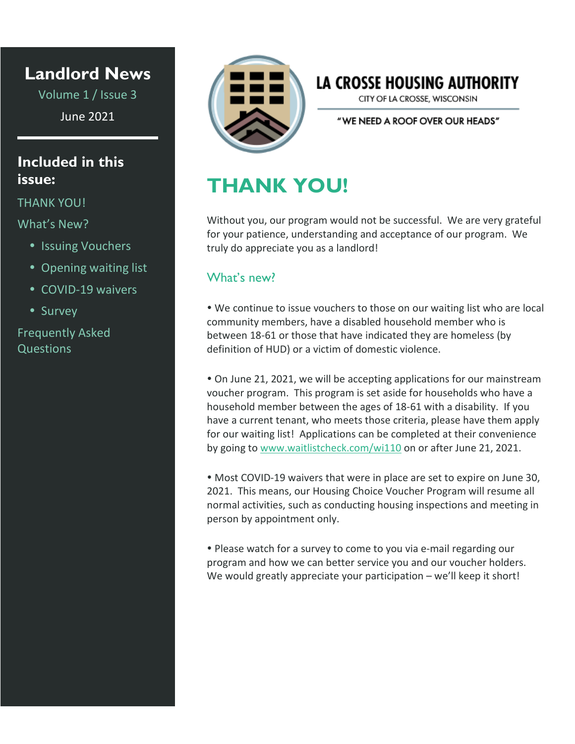### **Landlord News**

Volume 1 / Issue 3 June 2021

### **Included in this issue:**

#### THANK YOU!

What's New?

- Issuing Vouchers
- Opening waiting list
- COVID-19 waivers
- Survey

Frequently Asked Questions



## LA CROSSE HOUSING AUTHORITY

CITY OF LA CROSSE, WISCONSIN

"WE NEED A ROOF OVER OUR HEADS"

# **THANK YOU!**

Without you, our program would not be successful. We are very grateful for your patience, understanding and acceptance of our program. We truly do appreciate you as a landlord!

### What's new?

 We continue to issue vouchers to those on our waiting list who are local community members, have a disabled household member who is between 18-61 or those that have indicated they are homeless (by definition of HUD) or a victim of domestic violence.

 On June 21, 2021, we will be accepting applications for our mainstream voucher program. This program is set aside for households who have a household member between the ages of 18-61 with a disability. If you have a current tenant, who meets those criteria, please have them apply for our waiting list! Applications can be completed at their convenience by going to [www.waitlistcheck.com/wi110](http://www.waitlistcheck.com/wi110) on or after June 21, 2021.

• Most COVID-19 waivers that were in place are set to expire on June 30, 2021. This means, our Housing Choice Voucher Program will resume all normal activities, such as conducting housing inspections and meeting in person by appointment only.

 Please watch for a survey to come to you via e-mail regarding our program and how we can better service you and our voucher holders. We would greatly appreciate your participation – we'll keep it short!